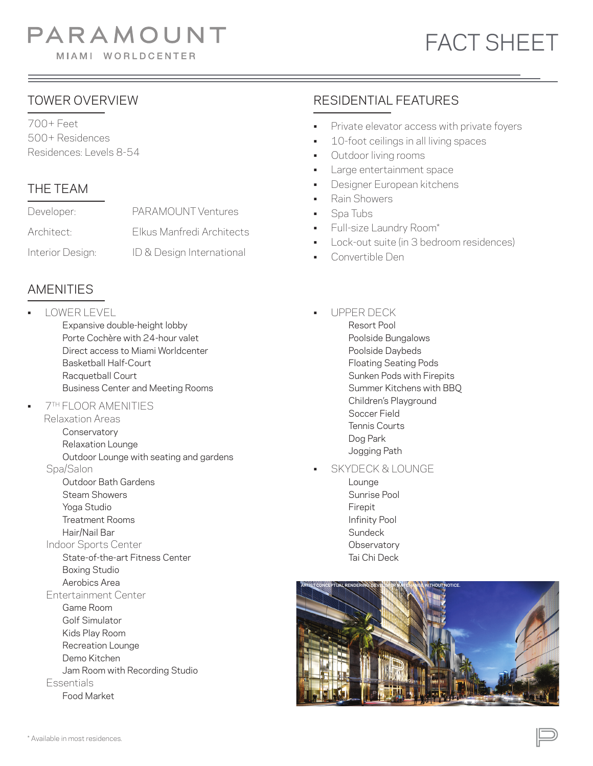# PARAMOUNT MIAMI WORLDCENTER

#### TOWER OVERVIEW

700+ Feet 500+ Residences Residences: Levels 8-54

#### THE TEAM

| Developer:             | PARAMOUNT Ventures        |
|------------------------|---------------------------|
| Architect <sup>.</sup> | Elkus Manfredi Architects |
| Interior Design:       | ID & Design International |

## AMENITIES

• LOWER LEVEL Expansive double-height lobby Porte Cochère with 24-hour valet Direct access to Miami Worldcenter Basketball Half-Court Racquetball Court Business Center and Meeting Rooms • 7TH FLOOR AMENITIES Relaxation Areas **Conservatory**  Relaxation Lounge Outdoor Lounge with seating and gardens Spa/Salon Outdoor Bath Gardens Steam Showers Yoga Studio Treatment Rooms Hair/Nail Bar Indoor Sports Center State-of-the-art Fitness Center Boxing Studio Aerobics Area Entertainment Center Game Room Golf Simulator Kids Play Room Recreation Lounge Demo Kitchen Jam Room with Recording Studio **Essentials** Food Market

### RESIDENTIAL FEATURES

- Private elevator access with private foyers
- 10-foot ceilings in all living spaces
- Outdoor living rooms
- Large entertainment space
- Designer European kitchens
- Rain Showers
- Spa Tubs
- Full-size Laundry Room\*
- Lock-out suite (in 3 bedroom residences)
- Convertible Den
	- UPPER DECK Resort Pool Poolside Bungalows Poolside Daybeds Floating Seating Pods Sunken Pods with Firepits Summer Kitchens with BBQ Children's Playground Soccer Field Tennis Courts Dog Park Jogging Path
- SKYDECK & LOUNGE
	- Lounge Sunrise Pool Firepit Infinity Pool **Sundeck Observatory** Tai Chi Deck